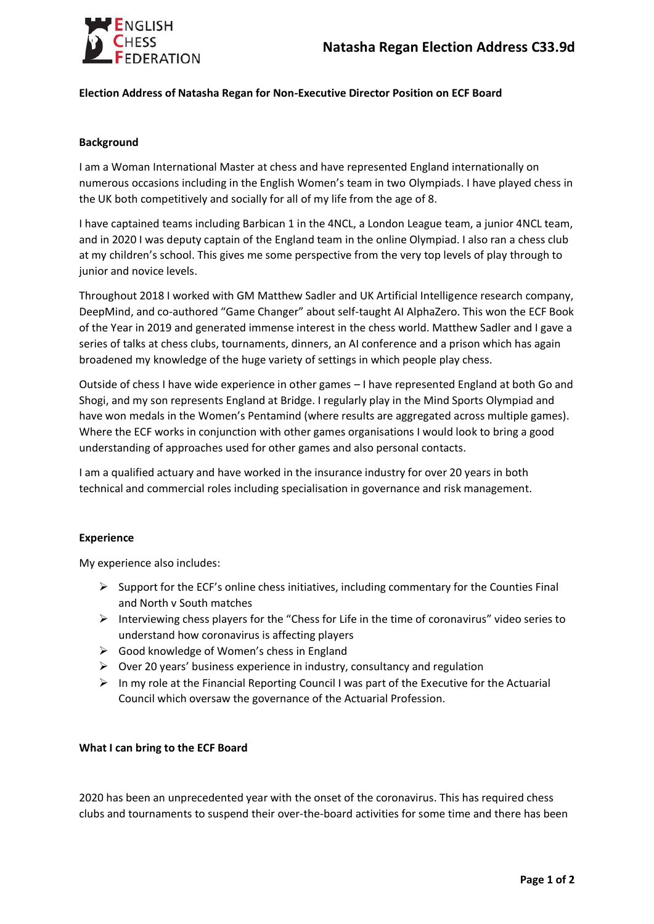

## **Election Address of Natasha Regan for Non-Executive Director Position on ECF Board**

## **Background**

I am a Woman International Master at chess and have represented England internationally on numerous occasions including in the English Women's team in two Olympiads. I have played chess in the UK both competitively and socially for all of my life from the age of 8.

I have captained teams including Barbican 1 in the 4NCL, a London League team, a junior 4NCL team, and in 2020 I was deputy captain of the England team in the online Olympiad. I also ran a chess club at my children's school. This gives me some perspective from the very top levels of play through to junior and novice levels.

Throughout 2018 I worked with GM Matthew Sadler and UK Artificial Intelligence research company, DeepMind, and co-authored "Game Changer" about self-taught AI AlphaZero. This won the ECF Book of the Year in 2019 and generated immense interest in the chess world. Matthew Sadler and I gave a series of talks at chess clubs, tournaments, dinners, an AI conference and a prison which has again broadened my knowledge of the huge variety of settings in which people play chess.

Outside of chess I have wide experience in other games – I have represented England at both Go and Shogi, and my son represents England at Bridge. I regularly play in the Mind Sports Olympiad and have won medals in the Women's Pentamind (where results are aggregated across multiple games). Where the ECF works in conjunction with other games organisations I would look to bring a good understanding of approaches used for other games and also personal contacts.

I am a qualified actuary and have worked in the insurance industry for over 20 years in both technical and commercial roles including specialisation in governance and risk management.

## **Experience**

My experience also includes:

- $\triangleright$  Support for the ECF's online chess initiatives, including commentary for the Counties Final and North v South matches
- $\triangleright$  Interviewing chess players for the "Chess for Life in the time of coronavirus" video series to understand how coronavirus is affecting players
- $\triangleright$  Good knowledge of Women's chess in England
- $\triangleright$  Over 20 years' business experience in industry, consultancy and regulation
- $\triangleright$  In my role at the Financial Reporting Council I was part of the Executive for the Actuarial Council which oversaw the governance of the Actuarial Profession.

## **What I can bring to the ECF Board**

2020 has been an unprecedented year with the onset of the coronavirus. This has required chess clubs and tournaments to suspend their over-the-board activities for some time and there has been